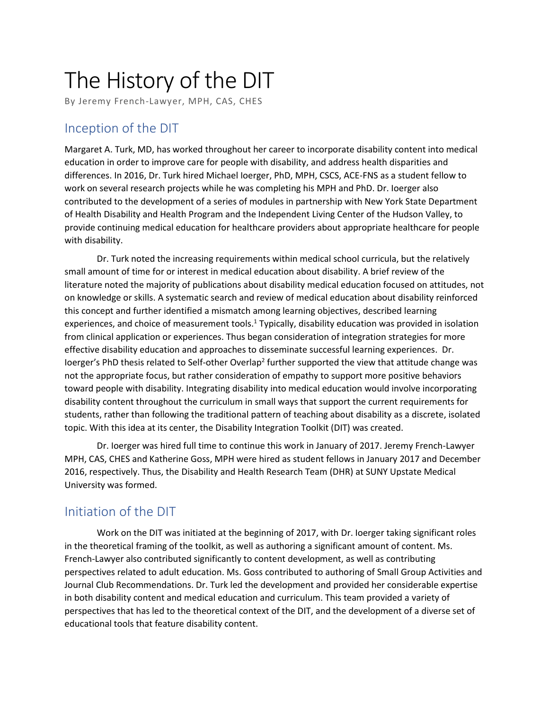# The History of the DIT

By Jeremy French-Lawyer, MPH, CAS, CHES

#### Inception of the DIT

Margaret A. Turk, MD, has worked throughout her career to incorporate disability content into medical education in order to improve care for people with disability, and address health disparities and differences. In 2016, Dr. Turk hired Michael Ioerger, PhD, MPH, CSCS, ACE-FNS as a student fellow to work on several research projects while he was completing his MPH and PhD. Dr. Ioerger also contributed to the development of a series of modules in partnership with New York State Department of Health Disability and Health Program and the Independent Living Center of the Hudson Valley, to provide continuing medical education for healthcare providers about appropriate healthcare for people with disability.

Dr. Turk noted the increasing requirements within medical school curricula, but the relatively small amount of time for or interest in medical education about disability. A brief review of the literature noted the majority of publications about disability medical education focused on attitudes, not on knowledge or skills. A systematic search and review of medical education about disability reinforced this concept and further identified a mismatch among learning objectives, described learning experiences, and choice of measurement tools.<sup>1</sup> Typically, disability education was provided in isolation from clinical application or experiences. Thus began consideration of integration strategies for more effective disability education and approaches to disseminate successful learning experiences. Dr. loerger's PhD thesis related to Self-other Overlap<sup>2</sup> further supported the view that attitude change was not the appropriate focus, but rather consideration of empathy to support more positive behaviors toward people with disability. Integrating disability into medical education would involve incorporating disability content throughout the curriculum in small ways that support the current requirements for students, rather than following the traditional pattern of teaching about disability as a discrete, isolated topic. With this idea at its center, the Disability Integration Toolkit (DIT) was created.

Dr. Ioerger was hired full time to continue this work in January of 2017. Jeremy French-Lawyer MPH, CAS, CHES and Katherine Goss, MPH were hired as student fellows in January 2017 and December 2016, respectively. Thus, the Disability and Health Research Team (DHR) at SUNY Upstate Medical University was formed.

## Initiation of the DIT

Work on the DIT was initiated at the beginning of 2017, with Dr. Ioerger taking significant roles in the theoretical framing of the toolkit, as well as authoring a significant amount of content. Ms. French-Lawyer also contributed significantly to content development, as well as contributing perspectives related to adult education. Ms. Goss contributed to authoring of Small Group Activities and Journal Club Recommendations. Dr. Turk led the development and provided her considerable expertise in both disability content and medical education and curriculum. This team provided a variety of perspectives that has led to the theoretical context of the DIT, and the development of a diverse set of educational tools that feature disability content.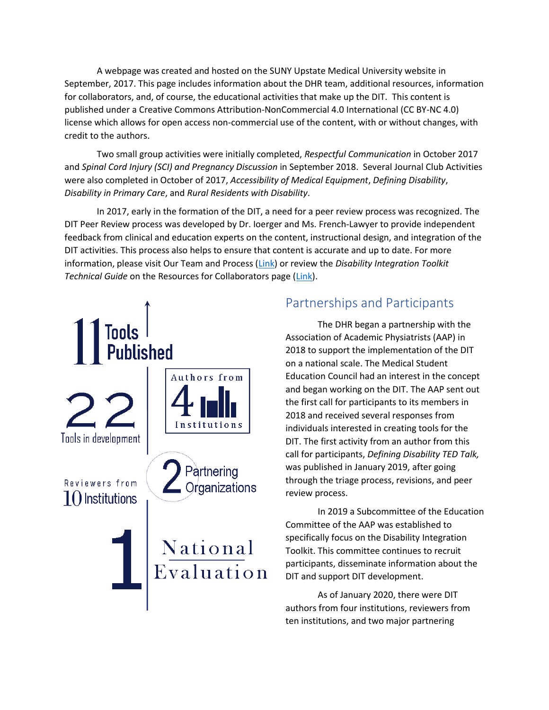A webpage was created and hosted on the SUNY Upstate Medical University website in September, 2017. This page includes information about the DHR team, additional resources, information for collaborators, and, of course, the educational activities that make up the DIT. This content is published under a Creative Commons Attribution-NonCommercial 4.0 International (CC BY-NC 4.0) license which allows for open access non-commercial use of the content, with or without changes, with credit to the authors.

Two small group activities were initially completed, *Respectful Communication* in October 2017 and *Spinal Cord Injury (SCI) and Pregnancy Discussion* in September 2018. Several Journal Club Activities were also completed in October of 2017, *Accessibility of Medical Equipment*, *Defining Disability*, *Disability in Primary Care*, and *Rural Residents with Disability*.

In 2017, early in the formation of the DIT, a need for a peer review process was recognized. The DIT Peer Review process was developed by Dr. Ioerger and Ms. French-Lawyer to provide independent feedback from clinical and education experts on the content, instructional design, and integration of the DIT activities. This process also helps to ensure that content is accurate and up to date. For more information, please visit Our Team and Process [\(Link\)](https://www.upstate.edu/pmr/education/toolkit/team_process.php) or review the *Disability Integration Toolkit Technical Guide* on the Resources for Collaborators page [\(Link\)](https://www.upstate.edu/pmr/education/toolkit/collaborators.php).



## Partnerships and Participants

The DHR began a partnership with the Association of Academic Physiatrists (AAP) in 2018 to support the implementation of the DIT on a national scale. The Medical Student Education Council had an interest in the concept and began working on the DIT. The AAP sent out the first call for participants to its members in 2018 and received several responses from individuals interested in creating tools for the DIT. The first activity from an author from this call for participants, *Defining Disability TED Talk,* was published in January 2019, after going through the triage process, revisions, and peer review process.

In 2019 a Subcommittee of the Education Committee of the AAP was established to specifically focus on the Disability Integration Toolkit. This committee continues to recruit participants, disseminate information about the DIT and support DIT development.

As of January 2020, there were DIT authors from four institutions, reviewers from ten institutions, and two major partnering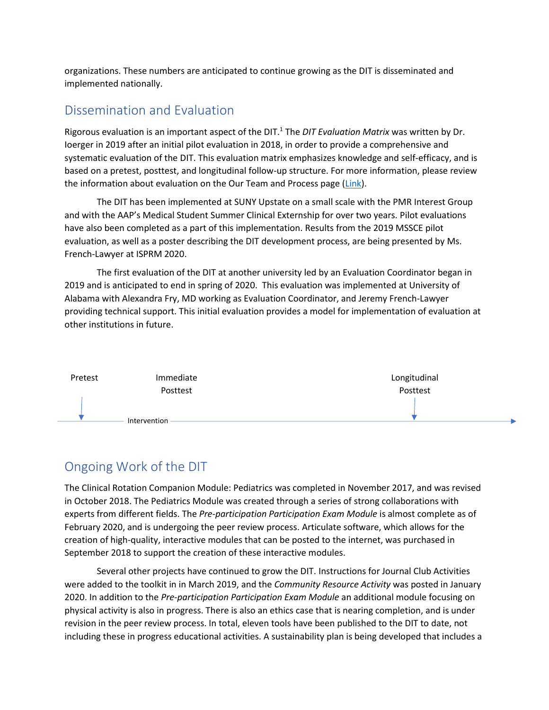organizations. These numbers are anticipated to continue growing as the DIT is disseminated and implemented nationally.

#### Dissemination and Evaluation

Rigorous evaluation is an important aspect of the DIT.<sup>1</sup> The *DIT Evaluation Matrix* was written by Dr. Ioerger in 2019 after an initial pilot evaluation in 2018, in order to provide a comprehensive and systematic evaluation of the DIT. This evaluation matrix emphasizes knowledge and self-efficacy, and is based on a pretest, posttest, and longitudinal follow-up structure. For more information, please review the information about evaluation on the Our Team and Process page [\(Link\)](https://www.upstate.edu/pmr/education/toolkit/team_process.php).

The DIT has been implemented at SUNY Upstate on a small scale with the PMR Interest Group and with the AAP's Medical Student Summer Clinical Externship for over two years. Pilot evaluations have also been completed as a part of this implementation. Results from the 2019 MSSCE pilot evaluation, as well as a poster describing the DIT development process, are being presented by Ms. French-Lawyer at ISPRM 2020.

The first evaluation of the DIT at another university led by an Evaluation Coordinator began in 2019 and is anticipated to end in spring of 2020. This evaluation was implemented at University of Alabama with Alexandra Fry, MD working as Evaluation Coordinator, and Jeremy French-Lawyer providing technical support. This initial evaluation provides a model for implementation of evaluation at other institutions in future.



## Ongoing Work of the DIT

The Clinical Rotation Companion Module: Pediatrics was completed in November 2017, and was revised in October 2018. The Pediatrics Module was created through a series of strong collaborations with experts from different fields. The *Pre-participation Participation Exam Module* is almost complete as of February 2020, and is undergoing the peer review process. Articulate software, which allows for the creation of high-quality, interactive modules that can be posted to the internet, was purchased in September 2018 to support the creation of these interactive modules.

Several other projects have continued to grow the DIT. Instructions for Journal Club Activities were added to the toolkit in in March 2019, and the *Community Resource Activity* was posted in January 2020. In addition to the *Pre-participation Participation Exam Module* an additional module focusing on physical activity is also in progress. There is also an ethics case that is nearing completion, and is under revision in the peer review process. In total, eleven tools have been published to the DIT to date, not including these in progress educational activities. A sustainability plan is being developed that includes a